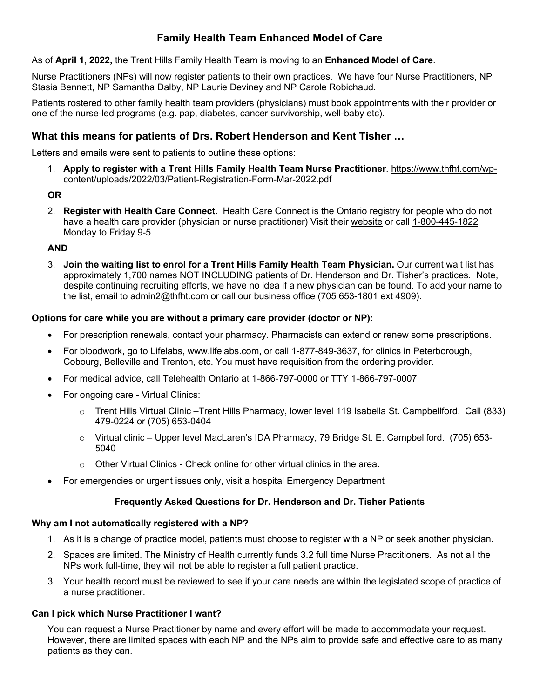# **Family Health Team Enhanced Model of Care**

As of **April 1, 2022,** the Trent Hills Family Health Team is moving to an **Enhanced Model of Care**.

Nurse Practitioners (NPs) will now register patients to their own practices. We have four Nurse Practitioners, NP Stasia Bennett, NP Samantha Dalby, NP Laurie Deviney and NP Carole Robichaud.

Patients rostered to other family health team providers (physicians) must book appointments with their provider or one of the nurse-led programs (e.g. pap, diabetes, cancer survivorship, well-baby etc).

# **What this means for patients of Drs. Robert Henderson and Kent Tisher …**

Letters and emails were sent to patients to outline these options:

1. **Apply to register with a Trent Hills Family Health Team Nurse Practitioner**. https://www.thfht.com/wpcontent/uploads/2022/03/Patient-Registration-Form-Mar-2022.pdf

### **OR**

2. **Register with Health Care Connect**. Health Care Connect is the Ontario registry for people who do not have a health care provider (physician or nurse practitioner) Visit their website or call 1-800-445-1822 Monday to Friday 9-5.

### **AND**

3. **Join the waiting list to enrol for a Trent Hills Family Health Team Physician.** Our current wait list has approximately 1,700 names NOT INCLUDING patients of Dr. Henderson and Dr. Tisher's practices. Note, despite continuing recruiting efforts, we have no idea if a new physician can be found. To add your name to the list, email to admin2@thfht.com or call our business office (705 653-1801 ext 4909).

### **Options for care while you are without a primary care provider (doctor or NP):**

- For prescription renewals, contact your pharmacy. Pharmacists can extend or renew some prescriptions.
- For bloodwork, go to Lifelabs, www.lifelabs.com, or call 1-877-849-3637, for clinics in Peterborough, Cobourg, Belleville and Trenton, etc. You must have requisition from the ordering provider.
- For medical advice, call Telehealth Ontario at 1-866-797-0000 or TTY 1-866-797-0007
- For ongoing care Virtual Clinics:
	- o Trent Hills Virtual Clinic –Trent Hills Pharmacy, lower level 119 Isabella St. Campbellford. Call (833) 479-0224 or (705) 653-0404
	- o Virtual clinic Upper level MacLaren's IDA Pharmacy, 79 Bridge St. E. Campbellford. (705) 653- 5040
	- $\circ$  Other Virtual Clinics Check online for other virtual clinics in the area.
- For emergencies or urgent issues only, visit a hospital Emergency Department

#### **Frequently Asked Questions for Dr. Henderson and Dr. Tisher Patients**

#### **Why am I not automatically registered with a NP?**

- 1. As it is a change of practice model, patients must choose to register with a NP or seek another physician.
- 2. Spaces are limited. The Ministry of Health currently funds 3.2 full time Nurse Practitioners. As not all the NPs work full-time, they will not be able to register a full patient practice.
- 3. Your health record must be reviewed to see if your care needs are within the legislated scope of practice of a nurse practitioner.

#### **Can I pick which Nurse Practitioner I want?**

You can request a Nurse Practitioner by name and every effort will be made to accommodate your request. However, there are limited spaces with each NP and the NPs aim to provide safe and effective care to as many patients as they can.